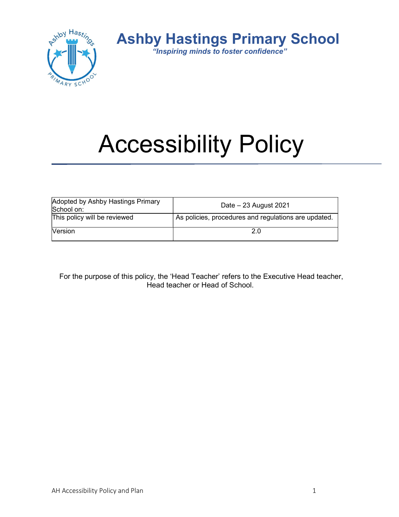

Ashby Hastings Primary School

"Inspiring minds to foster confidence"

# Accessibility Policy

| Adopted by Ashby Hastings Primary<br>School on: | Date $-23$ August 2021                               |
|-------------------------------------------------|------------------------------------------------------|
| This policy will be reviewed                    | As policies, procedures and regulations are updated. |
| <b>Version</b>                                  |                                                      |

For the purpose of this policy, the 'Head Teacher' refers to the Executive Head teacher, Head teacher or Head of School.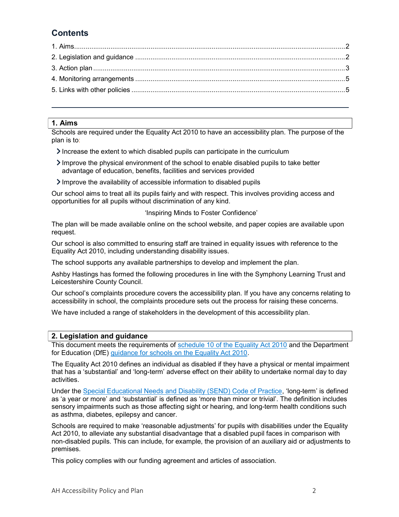# **Contents**

## 1. Aims

Schools are required under the Equality Act 2010 to have an accessibility plan. The purpose of the plan is to:

- $\sum$  Increase the extent to which disabled pupils can participate in the curriculum
- Improve the physical environment of the school to enable disabled pupils to take better advantage of education, benefits, facilities and services provided
- $\sum$  Improve the availability of accessible information to disabled pupils

Our school aims to treat all its pupils fairly and with respect. This involves providing access and opportunities for all pupils without discrimination of any kind.

#### 'Inspiring Minds to Foster Confidence'

The plan will be made available online on the school website, and paper copies are available upon request.

Our school is also committed to ensuring staff are trained in equality issues with reference to the Equality Act 2010, including understanding disability issues.

The school supports any available partnerships to develop and implement the plan.

Ashby Hastings has formed the following procedures in line with the Symphony Learning Trust and Leicestershire County Council.

Our school's complaints procedure covers the accessibility plan. If you have any concerns relating to accessibility in school, the complaints procedure sets out the process for raising these concerns.

We have included a range of stakeholders in the development of this accessibility plan.

#### 2. Legislation and guidance

This document meets the requirements of schedule 10 of the Equality Act 2010 and the Department for Education (DfE) guidance for schools on the Equality Act 2010.

The Equality Act 2010 defines an individual as disabled if they have a physical or mental impairment that has a 'substantial' and 'long-term' adverse effect on their ability to undertake normal day to day activities.

Under the Special Educational Needs and Disability (SEND) Code of Practice, 'long-term' is defined as 'a year or more' and 'substantial' is defined as 'more than minor or trivial'. The definition includes sensory impairments such as those affecting sight or hearing, and long-term health conditions such as asthma, diabetes, epilepsy and cancer.

Schools are required to make 'reasonable adjustments' for pupils with disabilities under the Equality Act 2010, to alleviate any substantial disadvantage that a disabled pupil faces in comparison with non-disabled pupils. This can include, for example, the provision of an auxiliary aid or adjustments to premises.

This policy complies with our funding agreement and articles of association.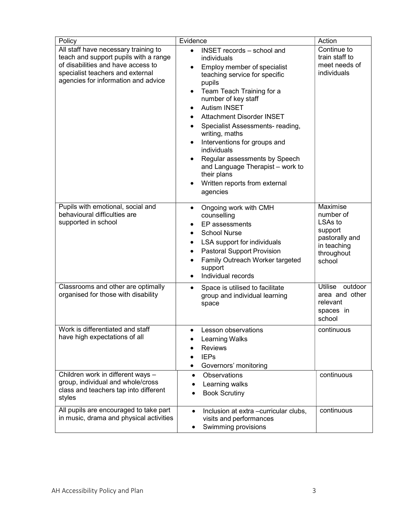| Policy                                                                                                                                                                                         | Evidence                                                                                                                                                                                                                                                                                                                                                                                                                                                                                                                                        | Action                                                                                                           |
|------------------------------------------------------------------------------------------------------------------------------------------------------------------------------------------------|-------------------------------------------------------------------------------------------------------------------------------------------------------------------------------------------------------------------------------------------------------------------------------------------------------------------------------------------------------------------------------------------------------------------------------------------------------------------------------------------------------------------------------------------------|------------------------------------------------------------------------------------------------------------------|
| All staff have necessary training to<br>teach and support pupils with a range<br>of disabilities and have access to<br>specialist teachers and external<br>agencies for information and advice | INSET records - school and<br>$\bullet$<br>individuals<br>Employ member of specialist<br>$\bullet$<br>teaching service for specific<br>pupils<br>Team Teach Training for a<br>$\bullet$<br>number of key staff<br><b>Autism INSET</b><br>$\bullet$<br>Attachment Disorder INSET<br>Specialist Assessments- reading,<br>writing, maths<br>Interventions for groups and<br>$\bullet$<br>individuals<br>Regular assessments by Speech<br>$\bullet$<br>and Language Therapist - work to<br>their plans<br>Written reports from external<br>agencies | Continue to<br>train staff to<br>meet needs of<br>individuals                                                    |
| Pupils with emotional, social and<br>behavioural difficulties are<br>supported in school                                                                                                       | Ongoing work with CMH<br>$\bullet$<br>counselling<br>EP assessments<br>$\bullet$<br><b>School Nurse</b><br>$\bullet$<br>LSA support for individuals<br>$\bullet$<br><b>Pastoral Support Provision</b><br>٠<br>Family Outreach Worker targeted<br>$\bullet$<br>support<br>Individual records<br>$\bullet$                                                                                                                                                                                                                                        | Maximise<br>number of<br>LSA <sub>s</sub> to<br>support<br>pastorally and<br>in teaching<br>throughout<br>school |
| Classrooms and other are optimally<br>organised for those with disability                                                                                                                      | Space is utilised to facilitate<br>$\bullet$<br>group and individual learning<br>space                                                                                                                                                                                                                                                                                                                                                                                                                                                          | Utilise<br>outdoor<br>area and other<br>relevant<br>spaces in<br>school                                          |
| Work is differentiated and staff<br>have high expectations of all                                                                                                                              | Lesson observations<br><b>Learning Walks</b><br><b>Reviews</b><br><b>IEPs</b><br>Governors' monitoring<br>٠                                                                                                                                                                                                                                                                                                                                                                                                                                     | continuous                                                                                                       |
| Children work in different ways -<br>group, individual and whole/cross<br>class and teachers tap into different<br>styles                                                                      | <b>Observations</b><br>$\bullet$<br>Learning walks<br><b>Book Scrutiny</b>                                                                                                                                                                                                                                                                                                                                                                                                                                                                      | continuous                                                                                                       |
| All pupils are encouraged to take part<br>in music, drama and physical activities                                                                                                              | Inclusion at extra -curricular clubs,<br>$\bullet$<br>visits and performances<br>Swimming provisions<br>٠                                                                                                                                                                                                                                                                                                                                                                                                                                       | continuous                                                                                                       |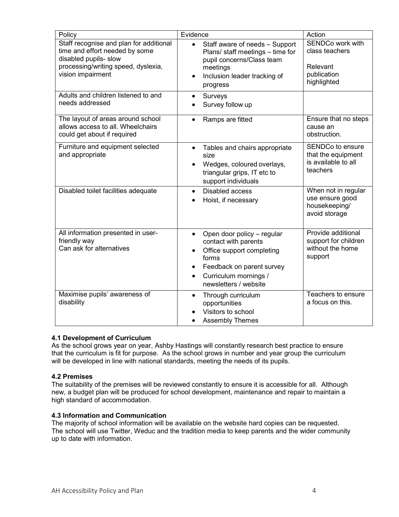| Policy                                                                                                                                                         | Evidence                                                                                                                                                                                          | Action                                                                           |
|----------------------------------------------------------------------------------------------------------------------------------------------------------------|---------------------------------------------------------------------------------------------------------------------------------------------------------------------------------------------------|----------------------------------------------------------------------------------|
| Staff recognise and plan for additional<br>time and effort needed by some<br>disabled pupils- slow<br>processing/writing speed, dyslexia,<br>vision impairment | Staff aware of needs - Support<br>$\bullet$<br>Plans/ staff meetings - time for<br>pupil concerns/Class team<br>meetings<br>Inclusion leader tracking of<br>progress                              | SENDCo work with<br>class teachers<br>Relevant<br>publication<br>highlighted     |
| Adults and children listened to and<br>needs addressed                                                                                                         | Surveys<br>Survey follow up                                                                                                                                                                       |                                                                                  |
| The layout of areas around school<br>allows access to all. Wheelchairs<br>could get about if required                                                          | Ramps are fitted                                                                                                                                                                                  | Ensure that no steps<br>cause an<br>obstruction.                                 |
| Furniture and equipment selected<br>and appropriate                                                                                                            | Tables and chairs appropriate<br>$\bullet$<br>size<br>Wedges, coloured overlays,<br>triangular grips, IT etc to<br>support individuals                                                            | <b>SENDCo to ensure</b><br>that the equipment<br>is available to all<br>teachers |
| Disabled toilet facilities adequate                                                                                                                            | <b>Disabled access</b><br>$\bullet$<br>Hoist, if necessary                                                                                                                                        | When not in regular<br>use ensure good<br>housekeeping/<br>avoid storage         |
| All information presented in user-<br>friendly way<br>Can ask for alternatives                                                                                 | Open door policy - regular<br>$\bullet$<br>contact with parents<br>Office support completing<br>forms<br>Feedback on parent survey<br>Curriculum mornings /<br>$\bullet$<br>newsletters / website | Provide additional<br>support for children<br>without the home<br>support        |
| Maximise pupils' awareness of<br>disability                                                                                                                    | Through curriculum<br>opportunities<br>Visitors to school<br><b>Assembly Themes</b>                                                                                                               | Teachers to ensure<br>a focus on this.                                           |

#### 4.1 Development of Curriculum

As the school grows year on year, Ashby Hastings will constantly research best practice to ensure that the curriculum is fit for purpose. As the school grows in number and year group the curriculum will be developed in line with national standards, meeting the needs of its pupils.

#### 4.2 Premises

The suitability of the premises will be reviewed constantly to ensure it is accessible for all. Although new, a budget plan will be produced for school development, maintenance and repair to maintain a high standard of accommodation.

#### 4.3 Information and Communication

The majority of school information will be available on the website hard copies can be requested. The school will use Twitter, Weduc and the tradition media to keep parents and the wider community up to date with information.